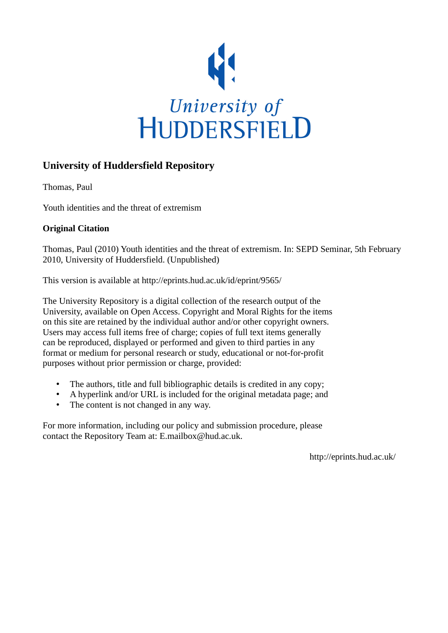

#### **University of Huddersfield Repository**

Thomas, Paul

Youth identities and the threat of extremism

#### **Original Citation**

Thomas, Paul (2010) Youth identities and the threat of extremism. In: SEPD Seminar, 5th February 2010, University of Huddersfield. (Unpublished)

This version is available at http://eprints.hud.ac.uk/id/eprint/9565/

The University Repository is a digital collection of the research output of the University, available on Open Access. Copyright and Moral Rights for the items on this site are retained by the individual author and/or other copyright owners. Users may access full items free of charge; copies of full text items generally can be reproduced, displayed or performed and given to third parties in any format or medium for personal research or study, educational or not-for-profit purposes without prior permission or charge, provided:

- The authors, title and full bibliographic details is credited in any copy;
- A hyperlink and/or URL is included for the original metadata page; and
- The content is not changed in any way.

For more information, including our policy and submission procedure, please contact the Repository Team at: E.mailbox@hud.ac.uk.

http://eprints.hud.ac.uk/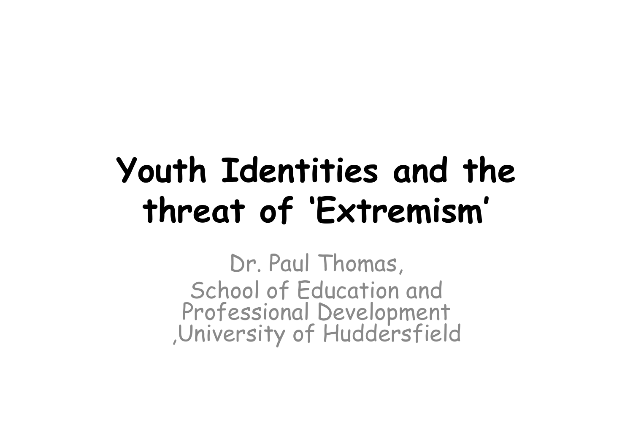## Youth Identities and the threat of 'Extremism'

Dr. Paul Thomas, School of Education and Professional Development ,University of Huddersfield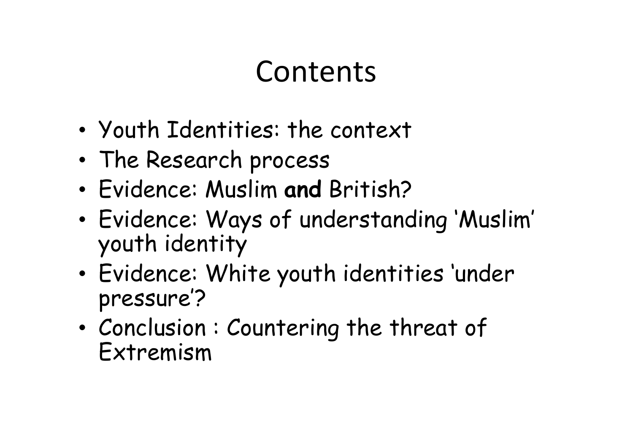#### Contents

- •Youth Identities: the context
- •The Research process
- •Evidence: Muslim and British?
- • Evidence: Ways of understanding 'Muslim' youth identity
- • Evidence: White youth identities 'under pressure'?
- •• Conclusion: Countering the threat of Extremism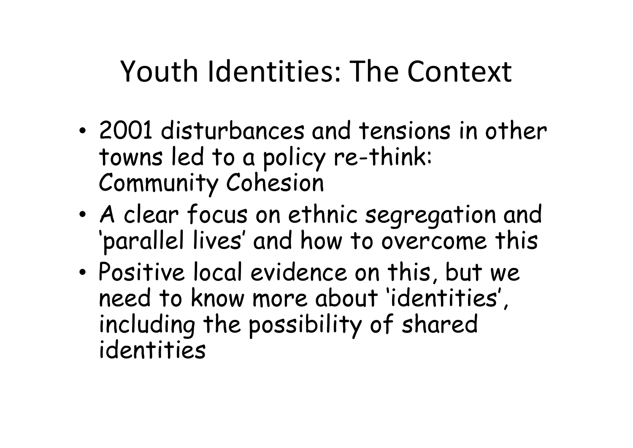### Youth Identities: The Context

- • 2001 disturbances and tensions in other towns led to a policy re-think: Community Cohesion
- • A clear focus on ethnic segregation and 'parallel lives' and how to overcome this
- • Positive local evidence on this, but we need to know more about 'identities', including the possibility of shared identities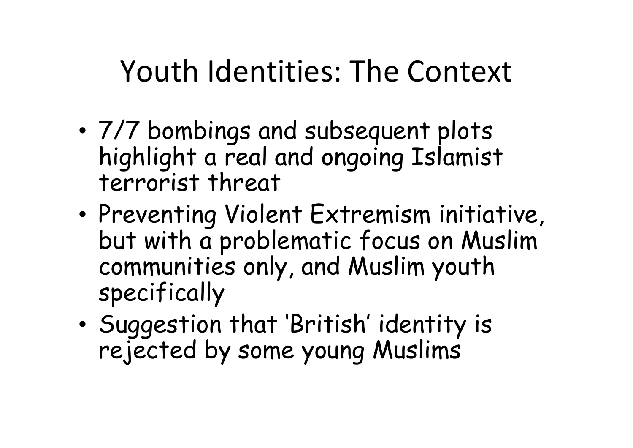### Youth Identities: The Context

- • 7/7 bombings and subsequent plots highlight a real and ongoing Islamist terrorist threat
- •• Preventing Violent Extremism initiative, but with a problematic focus on Muslim communities only, and Muslim youth specifically
- • Suggestion that 'British' identity is rejected by some young Muslims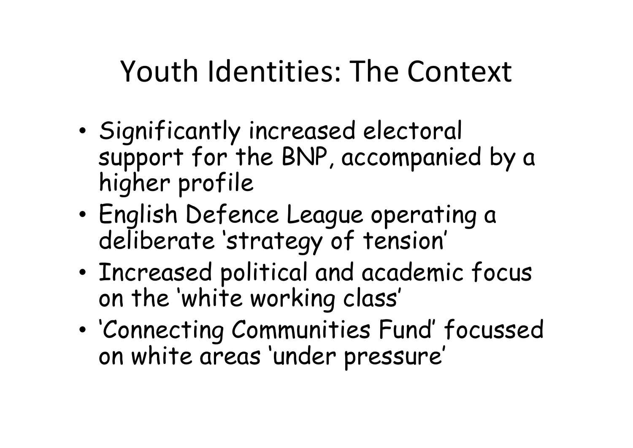### Youth Identities: The Context

- •• Significantly increased electoral support for the BNP, accompanied by a higher profile
- • English Defence League operating a deliberate 'strategy of tension'
- • Increased political and academic focus on the 'white working class'
- • 'Connecting Communities Fund' focussed on white areas 'under pressure'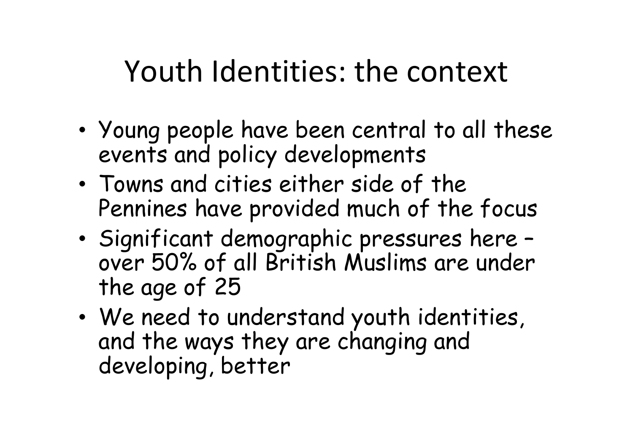### Youth Identities: the context

- • Young people have been central to all these events and policy developments
- • Towns and cities either side of the Pennines have provided much of the focus
- • Significant demographic pressures here – over 50% of all British Muslims are under the age of 25
- We need to We need to understand youth identities, and the ways they are changing and developing, better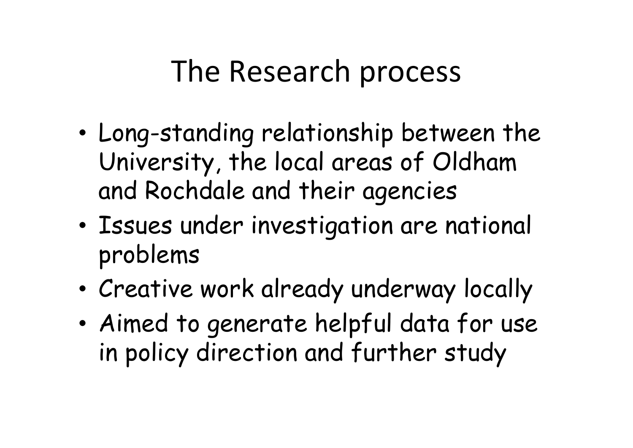#### The Research process

- • Long-standing relationship between the University, the local areas of Oldham and Rochdale and their agencies
- • Issues under investigation are national problems
- •Creative work already underway locally
- • Aimed to generate helpful data for use in policy direction and further study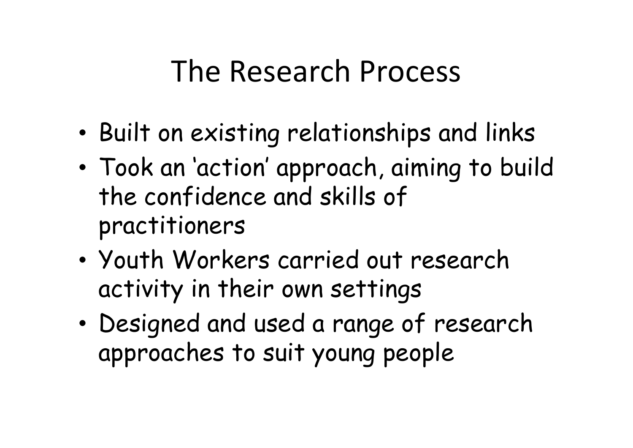#### The Research Process

- •Built on existing relationships and links
- • Took an 'action' approach, aiming to build the confidence and skills of practitioners
- • Youth Workers carried out research activity in their own settings
- • Designed and used a range of research approaches to suit young people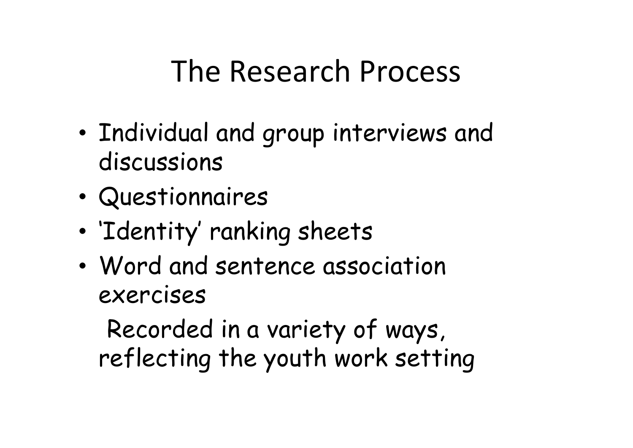#### The Research Process

- •. Individual and group interviews and discussions
- •Questionnaires
- •'Identity' ranking sheets
- • Word and sentence association exercises

Recorded in a variety of ways, reflecting the youth work setting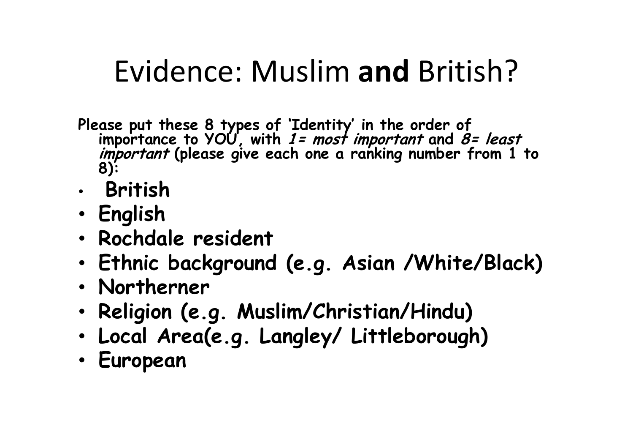- Please put these 8 types of 'Identity' in the order of<br>--importance to YOU, with *1= most important* and *8* importance to YOÙ, with *1= most important* and *8= least*<br>*important* (please give each one a ranking number from 1 <sup>:</sup> *important* (please give each one a ranking number from 1 to<br>8):
- •British
- Þnalick English
- Darhd Rochdale resident
- Ethnic hackaroun Ethnic background (e.g. Asian /White/Black)
- •Northerner
- Dalininn (a Religion (e.g. Muslim/Christian/Hindu)
- •Local Area(e.g. Langley/ Littleborough)
- •European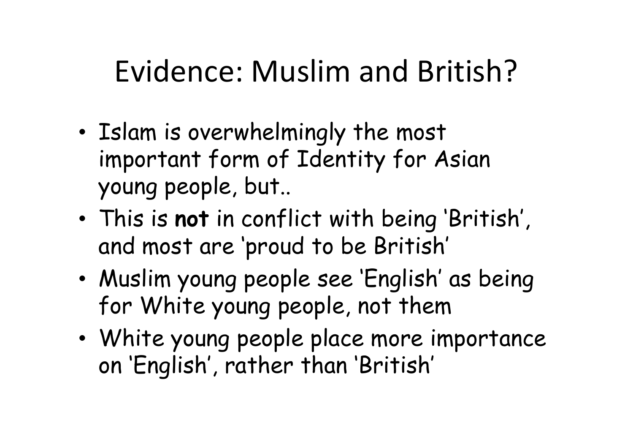- •• Islam is overwhelmingly the most important form of Identity for Asian young people, but..
- • This is not in conflict with being 'British', and most are 'proud to be British'
- • Muslim young people see 'English' as being for White young people, not them
- White voung neonle nlace more i White young people place more importance on 'English', rather than 'British'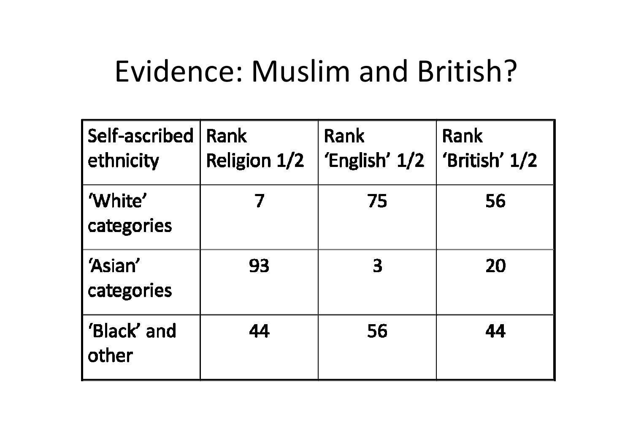| Self-ascribed<br>ethnicity | <b>Rank</b><br><b>Religion 1/2</b> | Rank<br>'English' $1/2$ | Rank<br>'British' 1/2 |
|----------------------------|------------------------------------|-------------------------|-----------------------|
| 'White'<br>categories      |                                    | 75                      | 56                    |
| 'Asian'<br>categories      | 93                                 | 3                       | 20                    |
| 'Black' and<br>other       | 44                                 | 56                      | 44                    |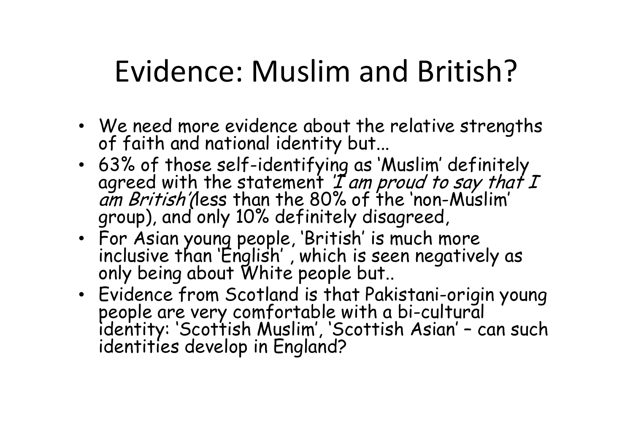- We need more evidence about the relative strengths of faith and national identity but...
- 63% of those self-identifying as 'Muslim' definitelyagreed with the statement *'I am proud to say that I<br><i>am British'(*less than the 80% of the 'non-Muslim'<br>group), and only 10% definitely disagreed,
- For Asian young people, 'British' is much more inclusive than 'English' , which is seen negatively as only being about White people but..
- Evidence from Scotland is that Pakistani-origin young Evidence from Scotland is that Pakistani-origin young people are very comfortable with a bi-cultural identity: 'Scottish Muslim', 'Scottish Asian' – can such identities develop in England?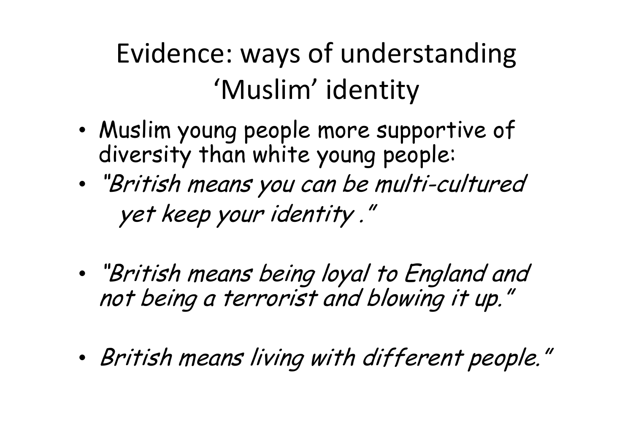Evidence: ways of understanding 'Muslim' identity

- • Muslim young people more supportive of diversity than white young people:
- • "British means you can be multi-cultured yet keep your identity ."
- • "British means being loyal to England and not being a terrorist and blowing it up."
- •British means living with different people."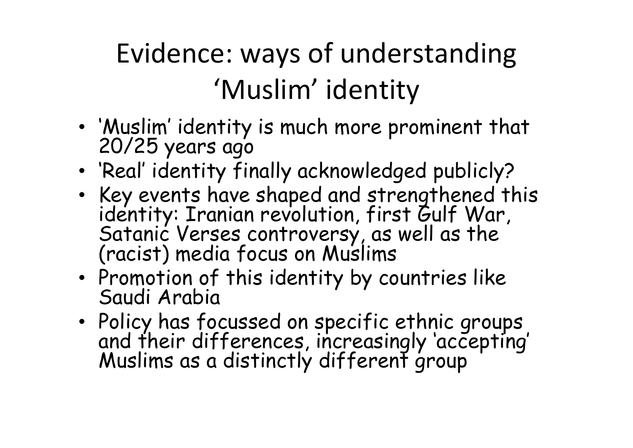Evidence: ways of understanding 'Muslim' identity

- •'Muslim' identity is much more prominent that 20/25 years ago
- 'Danl' idantity f 'Real' identity finally acknowledged publicly?
- $\bullet$  Key events have shaned and strenathened  $\cdot$ Key events have shaped and strengthened this identity: Iranian revolution, first Gulf War, Satanic Verses controversy, as well as the (racist) media focus on Muslims
- Promotion of this identity by  $\epsilon$ • Promotion of this identity by countries like<br>Saudi Arabia
- Policy has fr Policy has focussed on specific ethnic groups and their differences, increasingly 'accepting' Muslims as a distinctly different group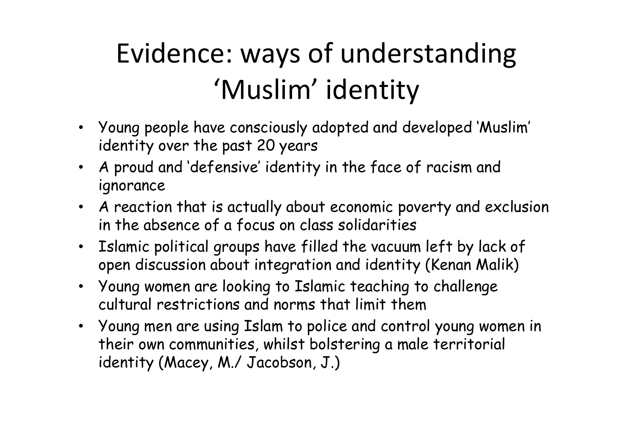### Evidence: ways of understanding 'Muslim' identity

- Young people have consciously adopted and developed 'Muslim' identity over the past 20 years
- A proud and 'defensive' identity in the face of racism and ignorance
- A reaction that is actually about economic poverty and exclusionin the absence of a focus on class solidarities
- Islamic political groups have filled the vacuum left by lack of open discussion about integration and identity (Kenan Malik)
- Young women are looking to Islamic teaching to challenge cultural restrictions and norms that limit them
- Young men are using Islam to police and control young women in their own communities, whilst bolstering a male territorial identity (Macey, M./ Jacobson, J.)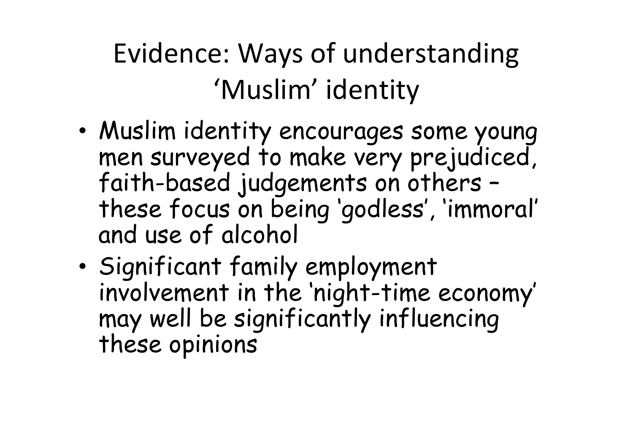Evidence: Ways of understanding 'Muslim' identity

- • Muslim identity encourages some young men surveyed to make very prejudiced, faith-based judgements on others – these focus on being 'godless', 'immoral' and use of alcohol
- •• Significant family employment involvement in the 'night-time economy' may well be significantly influencing these opinions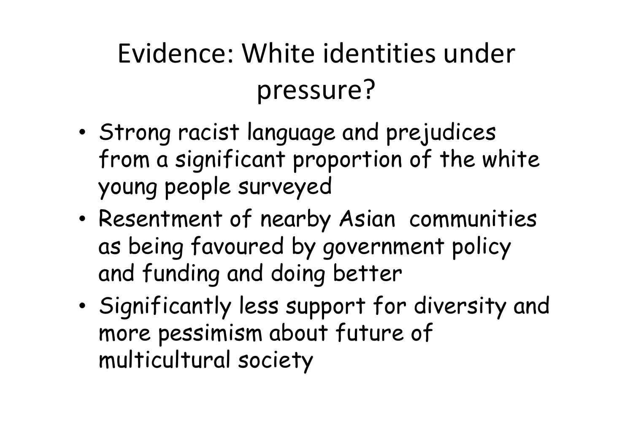- • Strong racist language and prejudices from a significant proportion of the white young people surveyed
- • Resentment of nearby Asian communities as being favoured by government policy and funding and doing better
- •• Significantly less support for diversity and more pessimism about future of multicultural society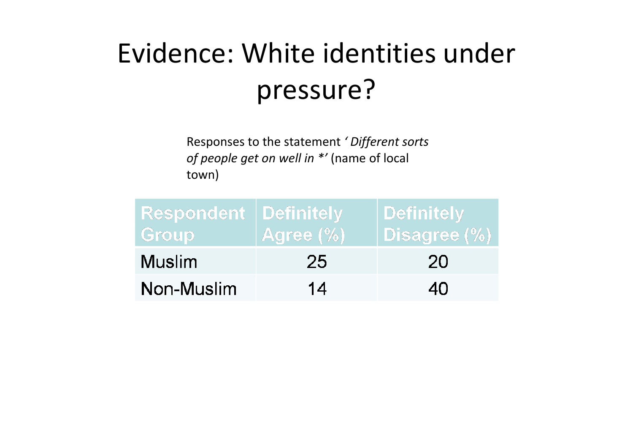Responses to the statement ' Different sorts of people get on well in \*' (name of local town)

| <b>Respondent   Definitely</b><br>Group | Agree (%) | Definitely  <br>Disagree (%) |
|-----------------------------------------|-----------|------------------------------|
| <b>Muslim</b>                           | 25        | 20                           |
| Non-Muslim                              | 14        | 40                           |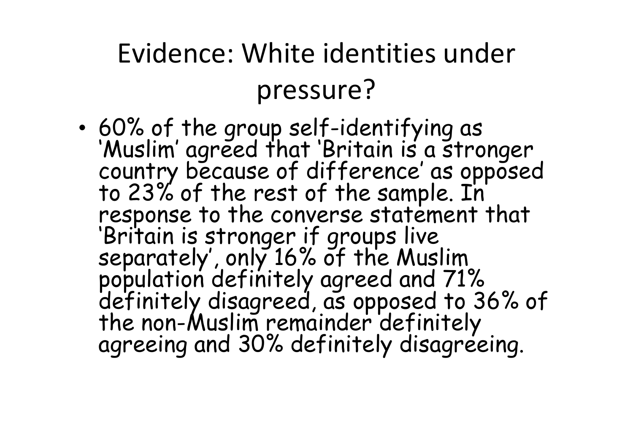•response to the converse statement that<br>'Britain is stronger if groups live<br>separately', only 16% of the Muslim<br>population definitely agreed and 71%<br>definitely disagreed, as opposed to 36% of<br>the non-Muslim remainder defin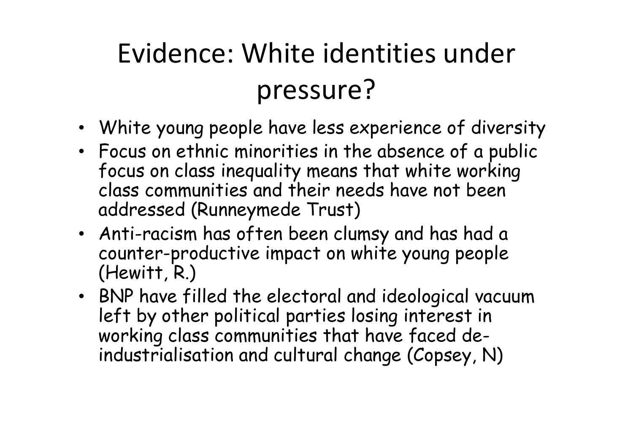- White young people have less experience of diversity
- • Focus on ethnic minorities in the absence of a public focus on class inequality means that white working class communities and their needs have not been addressed (Runneymede Trust)
- Anti-racism has often been clumsy and has had a counter-productive impact on white young people (Hewitt, R.)
- BNP have filled the electoral and ideological vacuum left by other political parties losing interest in working class communities that have faced deindustrialisation and cultural change (Copsey, N)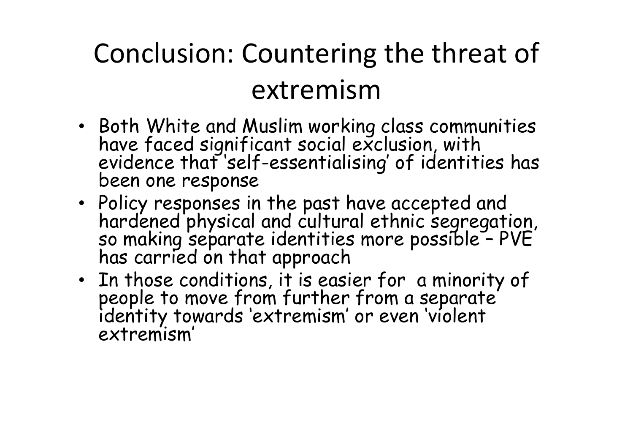#### Conclusion: Countering the threat of extremism

- Both White and Muslim working class communities have faced significant social exclusion, with evidence that 'self-essentialising' of identities has been one response
- Policy responses in the past have accepted and hardened physical and cultural ethnic segregation, so making separate identities more possible PVE has carried on that approach
- In those conditions it is eac people to move from further from a separate<br>identity towards 'extremism' or even 'violent<br>extremism'